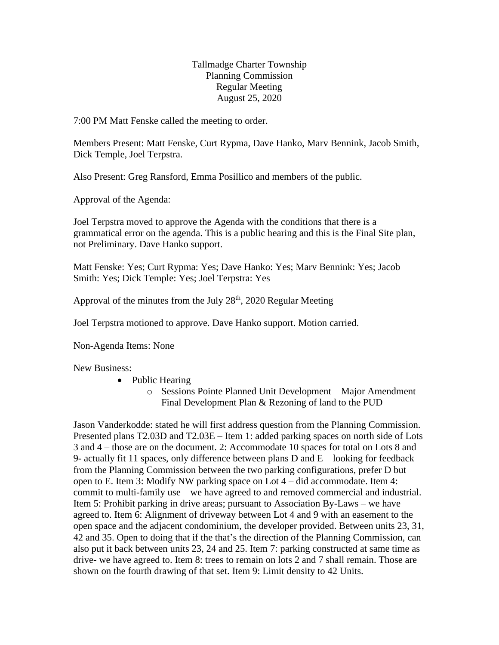Tallmadge Charter Township Planning Commission Regular Meeting August 25, 2020

7:00 PM Matt Fenske called the meeting to order.

Members Present: Matt Fenske, Curt Rypma, Dave Hanko, Marv Bennink, Jacob Smith, Dick Temple, Joel Terpstra.

Also Present: Greg Ransford, Emma Posillico and members of the public.

Approval of the Agenda:

Joel Terpstra moved to approve the Agenda with the conditions that there is a grammatical error on the agenda. This is a public hearing and this is the Final Site plan, not Preliminary. Dave Hanko support.

Matt Fenske: Yes; Curt Rypma: Yes; Dave Hanko: Yes; Marv Bennink: Yes; Jacob Smith: Yes; Dick Temple: Yes; Joel Terpstra: Yes

Approval of the minutes from the July  $28<sup>th</sup>$ , 2020 Regular Meeting

Joel Terpstra motioned to approve. Dave Hanko support. Motion carried.

Non-Agenda Items: None

New Business:

- Public Hearing
	- o Sessions Pointe Planned Unit Development Major Amendment Final Development Plan & Rezoning of land to the PUD

Jason Vanderkodde: stated he will first address question from the Planning Commission. Presented plans T2.03D and T2.03E – Item 1: added parking spaces on north side of Lots 3 and 4 – those are on the document. 2: Accommodate 10 spaces for total on Lots 8 and 9- actually fit 11 spaces, only difference between plans  $D$  and  $E$  – looking for feedback from the Planning Commission between the two parking configurations, prefer D but open to E. Item 3: Modify NW parking space on Lot 4 – did accommodate. Item 4: commit to multi-family use – we have agreed to and removed commercial and industrial. Item 5: Prohibit parking in drive areas; pursuant to Association By-Laws – we have agreed to. Item 6: Alignment of driveway between Lot 4 and 9 with an easement to the open space and the adjacent condominium, the developer provided. Between units 23, 31, 42 and 35. Open to doing that if the that's the direction of the Planning Commission, can also put it back between units 23, 24 and 25. Item 7: parking constructed at same time as drive- we have agreed to. Item 8: trees to remain on lots 2 and 7 shall remain. Those are shown on the fourth drawing of that set. Item 9: Limit density to 42 Units.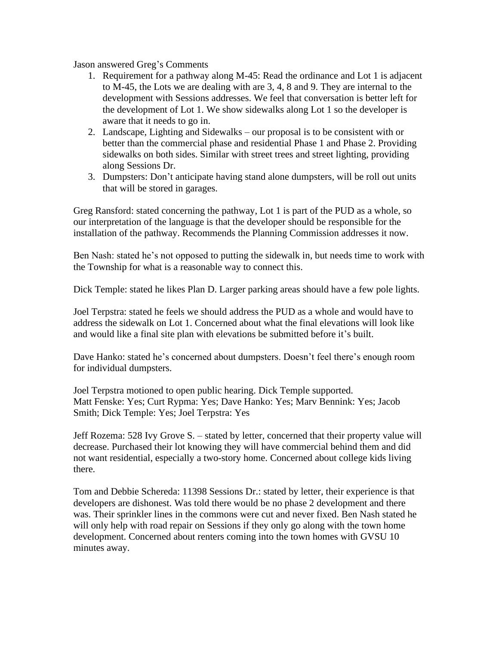Jason answered Greg's Comments

- 1. Requirement for a pathway along M-45: Read the ordinance and Lot 1 is adjacent to M-45, the Lots we are dealing with are 3, 4, 8 and 9. They are internal to the development with Sessions addresses. We feel that conversation is better left for the development of Lot 1. We show sidewalks along Lot 1 so the developer is aware that it needs to go in.
- 2. Landscape, Lighting and Sidewalks our proposal is to be consistent with or better than the commercial phase and residential Phase 1 and Phase 2. Providing sidewalks on both sides. Similar with street trees and street lighting, providing along Sessions Dr.
- 3. Dumpsters: Don't anticipate having stand alone dumpsters, will be roll out units that will be stored in garages.

Greg Ransford: stated concerning the pathway, Lot 1 is part of the PUD as a whole, so our interpretation of the language is that the developer should be responsible for the installation of the pathway. Recommends the Planning Commission addresses it now.

Ben Nash: stated he's not opposed to putting the sidewalk in, but needs time to work with the Township for what is a reasonable way to connect this.

Dick Temple: stated he likes Plan D. Larger parking areas should have a few pole lights.

Joel Terpstra: stated he feels we should address the PUD as a whole and would have to address the sidewalk on Lot 1. Concerned about what the final elevations will look like and would like a final site plan with elevations be submitted before it's built.

Dave Hanko: stated he's concerned about dumpsters. Doesn't feel there's enough room for individual dumpsters.

Joel Terpstra motioned to open public hearing. Dick Temple supported. Matt Fenske: Yes; Curt Rypma: Yes; Dave Hanko: Yes; Marv Bennink: Yes; Jacob Smith; Dick Temple: Yes; Joel Terpstra: Yes

Jeff Rozema: 528 Ivy Grove S. – stated by letter, concerned that their property value will decrease. Purchased their lot knowing they will have commercial behind them and did not want residential, especially a two-story home. Concerned about college kids living there.

Tom and Debbie Schereda: 11398 Sessions Dr.: stated by letter, their experience is that developers are dishonest. Was told there would be no phase 2 development and there was. Their sprinkler lines in the commons were cut and never fixed. Ben Nash stated he will only help with road repair on Sessions if they only go along with the town home development. Concerned about renters coming into the town homes with GVSU 10 minutes away.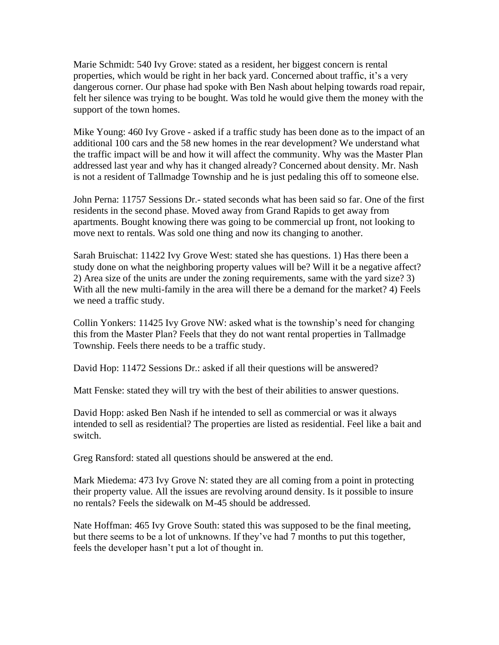Marie Schmidt: 540 Ivy Grove: stated as a resident, her biggest concern is rental properties, which would be right in her back yard. Concerned about traffic, it's a very dangerous corner. Our phase had spoke with Ben Nash about helping towards road repair, felt her silence was trying to be bought. Was told he would give them the money with the support of the town homes.

Mike Young: 460 Ivy Grove - asked if a traffic study has been done as to the impact of an additional 100 cars and the 58 new homes in the rear development? We understand what the traffic impact will be and how it will affect the community. Why was the Master Plan addressed last year and why has it changed already? Concerned about density. Mr. Nash is not a resident of Tallmadge Township and he is just pedaling this off to someone else.

John Perna: 11757 Sessions Dr.- stated seconds what has been said so far. One of the first residents in the second phase. Moved away from Grand Rapids to get away from apartments. Bought knowing there was going to be commercial up front, not looking to move next to rentals. Was sold one thing and now its changing to another.

Sarah Bruischat: 11422 Ivy Grove West: stated she has questions. 1) Has there been a study done on what the neighboring property values will be? Will it be a negative affect? 2) Area size of the units are under the zoning requirements, same with the yard size? 3) With all the new multi-family in the area will there be a demand for the market? 4) Feels we need a traffic study.

Collin Yonkers: 11425 Ivy Grove NW: asked what is the township's need for changing this from the Master Plan? Feels that they do not want rental properties in Tallmadge Township. Feels there needs to be a traffic study.

David Hop: 11472 Sessions Dr.: asked if all their questions will be answered?

Matt Fenske: stated they will try with the best of their abilities to answer questions.

David Hopp: asked Ben Nash if he intended to sell as commercial or was it always intended to sell as residential? The properties are listed as residential. Feel like a bait and switch.

Greg Ransford: stated all questions should be answered at the end.

Mark Miedema: 473 Ivy Grove N: stated they are all coming from a point in protecting their property value. All the issues are revolving around density. Is it possible to insure no rentals? Feels the sidewalk on M-45 should be addressed.

Nate Hoffman: 465 Ivy Grove South: stated this was supposed to be the final meeting, but there seems to be a lot of unknowns. If they've had 7 months to put this together, feels the developer hasn't put a lot of thought in.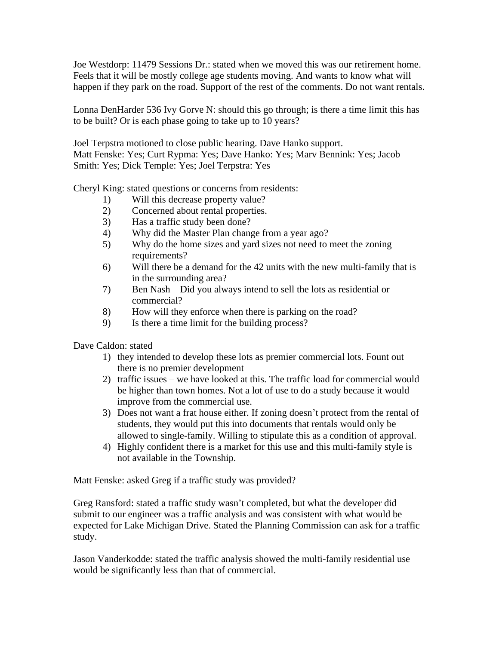Joe Westdorp: 11479 Sessions Dr.: stated when we moved this was our retirement home. Feels that it will be mostly college age students moving. And wants to know what will happen if they park on the road. Support of the rest of the comments. Do not want rentals.

Lonna DenHarder 536 Ivy Gorve N: should this go through; is there a time limit this has to be built? Or is each phase going to take up to 10 years?

Joel Terpstra motioned to close public hearing. Dave Hanko support. Matt Fenske: Yes; Curt Rypma: Yes; Dave Hanko: Yes; Marv Bennink: Yes; Jacob Smith: Yes; Dick Temple: Yes; Joel Terpstra: Yes

Cheryl King: stated questions or concerns from residents:

- 1) Will this decrease property value?
- 2) Concerned about rental properties.
- 3) Has a traffic study been done?
- 4) Why did the Master Plan change from a year ago?
- 5) Why do the home sizes and yard sizes not need to meet the zoning requirements?
- 6) Will there be a demand for the 42 units with the new multi-family that is in the surrounding area?
- 7) Ben Nash Did you always intend to sell the lots as residential or commercial?
- 8) How will they enforce when there is parking on the road?
- 9) Is there a time limit for the building process?

Dave Caldon: stated

- 1) they intended to develop these lots as premier commercial lots. Fount out there is no premier development
- 2) traffic issues we have looked at this. The traffic load for commercial would be higher than town homes. Not a lot of use to do a study because it would improve from the commercial use.
- 3) Does not want a frat house either. If zoning doesn't protect from the rental of students, they would put this into documents that rentals would only be allowed to single-family. Willing to stipulate this as a condition of approval.
- 4) Highly confident there is a market for this use and this multi-family style is not available in the Township.

Matt Fenske: asked Greg if a traffic study was provided?

Greg Ransford: stated a traffic study wasn't completed, but what the developer did submit to our engineer was a traffic analysis and was consistent with what would be expected for Lake Michigan Drive. Stated the Planning Commission can ask for a traffic study.

Jason Vanderkodde: stated the traffic analysis showed the multi-family residential use would be significantly less than that of commercial.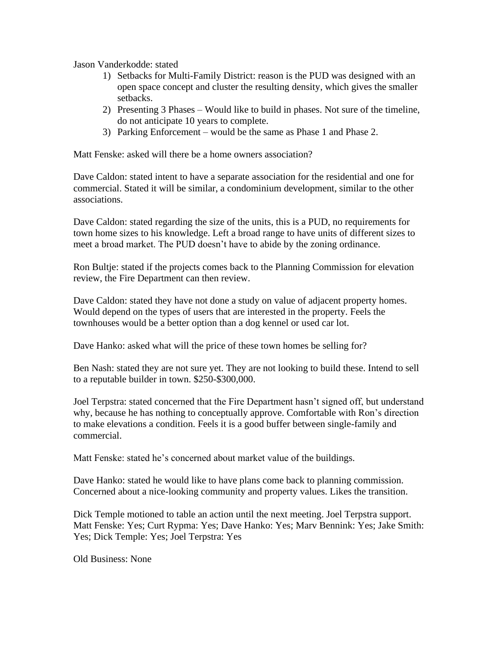Jason Vanderkodde: stated

- 1) Setbacks for Multi-Family District: reason is the PUD was designed with an open space concept and cluster the resulting density, which gives the smaller setbacks.
- 2) Presenting 3 Phases Would like to build in phases. Not sure of the timeline, do not anticipate 10 years to complete.
- 3) Parking Enforcement would be the same as Phase 1 and Phase 2.

Matt Fenske: asked will there be a home owners association?

Dave Caldon: stated intent to have a separate association for the residential and one for commercial. Stated it will be similar, a condominium development, similar to the other associations.

Dave Caldon: stated regarding the size of the units, this is a PUD, no requirements for town home sizes to his knowledge. Left a broad range to have units of different sizes to meet a broad market. The PUD doesn't have to abide by the zoning ordinance.

Ron Bultje: stated if the projects comes back to the Planning Commission for elevation review, the Fire Department can then review.

Dave Caldon: stated they have not done a study on value of adjacent property homes. Would depend on the types of users that are interested in the property. Feels the townhouses would be a better option than a dog kennel or used car lot.

Dave Hanko: asked what will the price of these town homes be selling for?

Ben Nash: stated they are not sure yet. They are not looking to build these. Intend to sell to a reputable builder in town. \$250-\$300,000.

Joel Terpstra: stated concerned that the Fire Department hasn't signed off, but understand why, because he has nothing to conceptually approve. Comfortable with Ron's direction to make elevations a condition. Feels it is a good buffer between single-family and commercial.

Matt Fenske: stated he's concerned about market value of the buildings.

Dave Hanko: stated he would like to have plans come back to planning commission. Concerned about a nice-looking community and property values. Likes the transition.

Dick Temple motioned to table an action until the next meeting. Joel Terpstra support. Matt Fenske: Yes; Curt Rypma: Yes; Dave Hanko: Yes; Marv Bennink: Yes; Jake Smith: Yes; Dick Temple: Yes; Joel Terpstra: Yes

Old Business: None